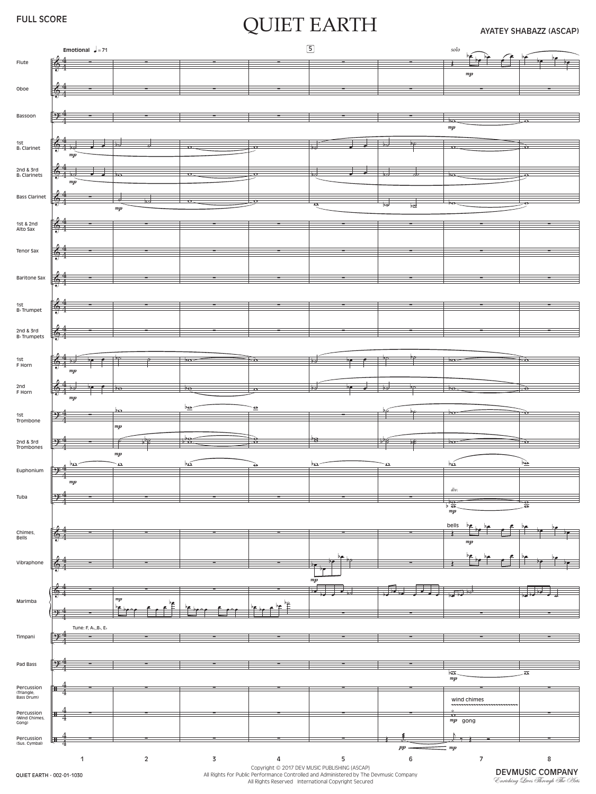## FULL SCORE

# QUIET EARTH AYATEY SHABAZZ (ASCAP)

|                                        |                      | Emotional $\sqrt{ }$ = 71 |                      |                          |                         | $\boxed{5}$                                                                                                                            |               | solo                                              |                                  |
|----------------------------------------|----------------------|---------------------------|----------------------|--------------------------|-------------------------|----------------------------------------------------------------------------------------------------------------------------------------|---------------|---------------------------------------------------|----------------------------------|
| Flute                                  | $\frac{24}{34}$      |                           |                      |                          |                         |                                                                                                                                        |               |                                                   |                                  |
|                                        |                      |                           |                      |                          |                         |                                                                                                                                        |               | $\it mp$                                          |                                  |
| Oboe                                   | $\frac{2}{6}$        |                           |                      |                          |                         |                                                                                                                                        |               |                                                   |                                  |
|                                        |                      |                           |                      |                          |                         |                                                                                                                                        |               |                                                   |                                  |
| Bassoon                                | $\Theta$ :           |                           |                      |                          |                         |                                                                                                                                        |               |                                                   |                                  |
|                                        |                      |                           |                      |                          |                         |                                                                                                                                        |               | $\it mp$                                          |                                  |
|                                        |                      |                           |                      |                          |                         |                                                                                                                                        |               |                                                   |                                  |
| 1st<br>B <sub>'</sub> Clarinet         | $rac{4}{94}$         | mp                        |                      | $\circ$                  | $\overline{\mathbf{o}}$ |                                                                                                                                        |               |                                                   |                                  |
| 2nd & 3rd<br>B, Clarinets              |                      |                           |                      |                          |                         |                                                                                                                                        |               |                                                   |                                  |
|                                        | $\frac{24}{94}$      |                           |                      |                          |                         |                                                                                                                                        |               |                                                   |                                  |
| <b>Bass Clarinet</b>                   |                      | mp                        |                      |                          |                         |                                                                                                                                        |               |                                                   |                                  |
|                                        | 6                    |                           |                      |                          |                         |                                                                                                                                        | 一<br>ञ्ज      |                                                   |                                  |
|                                        |                      |                           | mp                   |                          |                         |                                                                                                                                        |               |                                                   |                                  |
| 1st & 2nd<br>Alto Sax                  | $\frac{24}{64}$      |                           |                      |                          |                         |                                                                                                                                        |               |                                                   |                                  |
|                                        |                      |                           |                      |                          |                         |                                                                                                                                        |               |                                                   |                                  |
| Tenor Sax                              | $\frac{4}{94}$       |                           |                      |                          |                         |                                                                                                                                        |               |                                                   |                                  |
|                                        |                      |                           |                      |                          |                         |                                                                                                                                        |               |                                                   |                                  |
| Baritone Sax                           | 学                    |                           |                      |                          |                         |                                                                                                                                        |               |                                                   |                                  |
|                                        |                      |                           |                      |                          |                         |                                                                                                                                        |               |                                                   |                                  |
| 1st<br>B <sub>2</sub> Trumpet          | $\frac{6}{9}$        |                           |                      |                          |                         |                                                                                                                                        |               |                                                   |                                  |
|                                        |                      |                           |                      |                          |                         |                                                                                                                                        |               |                                                   |                                  |
| 2nd & 3rd<br>B <sub></sub> Trumpets    | $rac{4}{94}$         |                           |                      |                          |                         |                                                                                                                                        |               |                                                   |                                  |
|                                        |                      |                           |                      |                          |                         |                                                                                                                                        |               |                                                   |                                  |
|                                        | $\frac{24}{94}$      |                           |                      | $\overline{\bullet}$     |                         |                                                                                                                                        |               | $\rightarrow \infty$                              |                                  |
| 1st<br>F Horn                          |                      | mp                        |                      |                          |                         |                                                                                                                                        |               |                                                   |                                  |
|                                        |                      |                           |                      |                          |                         |                                                                                                                                        |               |                                                   |                                  |
| 2nd<br>F Horn                          | $\frac{4}{94}$       | mp                        | $\overline{50}$      | $\overline{\phantom{a}}$ |                         |                                                                                                                                        |               | $\overline{20}$                                   |                                  |
|                                        |                      |                           | $\mathbf{p}$         | $b_{\underline{\Theta}}$ | $\bullet$               |                                                                                                                                        |               | $\overline{20}$                                   |                                  |
| 1st<br>Trombone                        | $2^{.4}$             |                           | mp                   |                          |                         |                                                                                                                                        |               |                                                   |                                  |
|                                        |                      |                           |                      |                          |                         |                                                                                                                                        |               |                                                   |                                  |
| 2nd & 3rd<br>Trombones                 | $2^{.4}$             |                           |                      | $\frac{1}{2}$            | $\frac{1}{10}$          |                                                                                                                                        | $\rightarrow$ | $\overline{p}$                                    | $\overline{\mathbf{o}}$          |
|                                        |                      | $p_{\mathbf{Q}}$          | $\it mp$<br>$\bf{Q}$ | bo                       |                         | $b\Omega$                                                                                                                              | $\Omega$      | $\infty$                                          | ♭è                               |
| Euphonium                              | $\Theta^4$           |                           |                      |                          |                         |                                                                                                                                        |               |                                                   |                                  |
|                                        |                      | $\it mp$                  |                      |                          |                         |                                                                                                                                        |               | div.                                              |                                  |
| Tuba                                   | D.                   |                           |                      |                          |                         |                                                                                                                                        |               |                                                   |                                  |
|                                        |                      |                           |                      |                          |                         |                                                                                                                                        |               | $\frac{1}{b}$ $\frac{\overline{a}}{\overline{b}}$ | $\overline{\Theta}$              |
|                                        |                      |                           |                      |                          |                         |                                                                                                                                        |               | bells<br>₹                                        |                                  |
| Chimes,<br>Bells                       | $\overline{\bullet}$ |                           |                      |                          |                         |                                                                                                                                        |               | mp                                                |                                  |
|                                        |                      |                           |                      |                          |                         |                                                                                                                                        |               |                                                   |                                  |
| Vibraphone                             | ∲                    |                           |                      |                          |                         |                                                                                                                                        |               |                                                   |                                  |
|                                        |                      |                           |                      |                          |                         | $\overline{mp}$                                                                                                                        |               |                                                   |                                  |
|                                        | $\epsilon$           |                           |                      |                          |                         | $\overline{\phantom{a}}$                                                                                                               |               |                                                   |                                  |
| Marimba                                |                      |                           | $\it mp$             |                          | Έ                       |                                                                                                                                        |               |                                                   |                                  |
|                                        | ∍                    |                           |                      |                          |                         |                                                                                                                                        |               |                                                   |                                  |
|                                        | <u>ີາ:</u>           | Tune: F, A,, B,, E,       |                      |                          |                         |                                                                                                                                        |               |                                                   |                                  |
| Timpani                                |                      |                           |                      |                          |                         |                                                                                                                                        |               |                                                   |                                  |
|                                        |                      |                           |                      |                          |                         |                                                                                                                                        |               |                                                   |                                  |
| Pad Bass                               | $\mathbf{\Theta}^*$  |                           |                      |                          |                         |                                                                                                                                        |               | $\overline{p\overline{e}}$ .                      | $\overline{\bullet}$             |
|                                        |                      |                           |                      |                          |                         |                                                                                                                                        |               |                                                   |                                  |
| Percussion<br>(Triangle,<br>Bass Drum) | Œ                    |                           |                      |                          |                         |                                                                                                                                        |               | wind chimes                                       |                                  |
|                                        | ≖                    |                           |                      |                          |                         |                                                                                                                                        |               |                                                   |                                  |
| Percussion<br>(Wind Chimes,<br>Gong)   |                      |                           |                      |                          |                         |                                                                                                                                        |               | o<br>$mp$ gong                                    |                                  |
|                                        | ₩.                   |                           |                      |                          |                         |                                                                                                                                        |               |                                                   |                                  |
| Percussion<br>(Sus. Cymbal)            |                      |                           |                      |                          |                         |                                                                                                                                        | pp            | $=$ mp                                            |                                  |
|                                        |                      | $\overline{1}$            | $\overline{2}$       | $\mathbf 3$              | 4                       | 5                                                                                                                                      | 6             | $\overline{\phantom{a}}$                          | 8                                |
| QUIET EARTH - 002-01-1030              |                      |                           |                      |                          |                         | Copyright © 2017 DEV MUSIC PUBLISHING (ASCAP)<br>All Rights for Public Performance Controlled and Administered by The Devmusic Company |               |                                                   | <b>DEVMUSIC COMPANY</b>          |
|                                        |                      |                           |                      |                          |                         | All Rights Reserved International Copyright Secured                                                                                    |               |                                                   | Enriching Lives Through The Arts |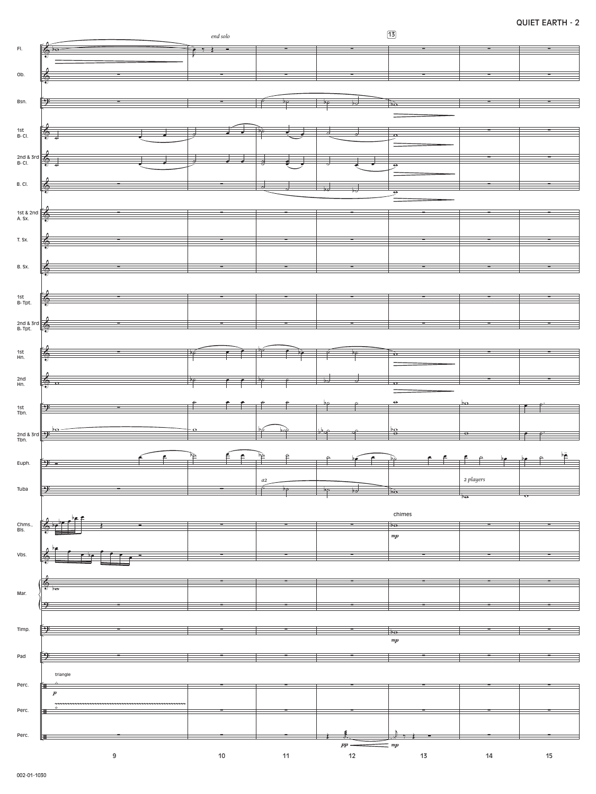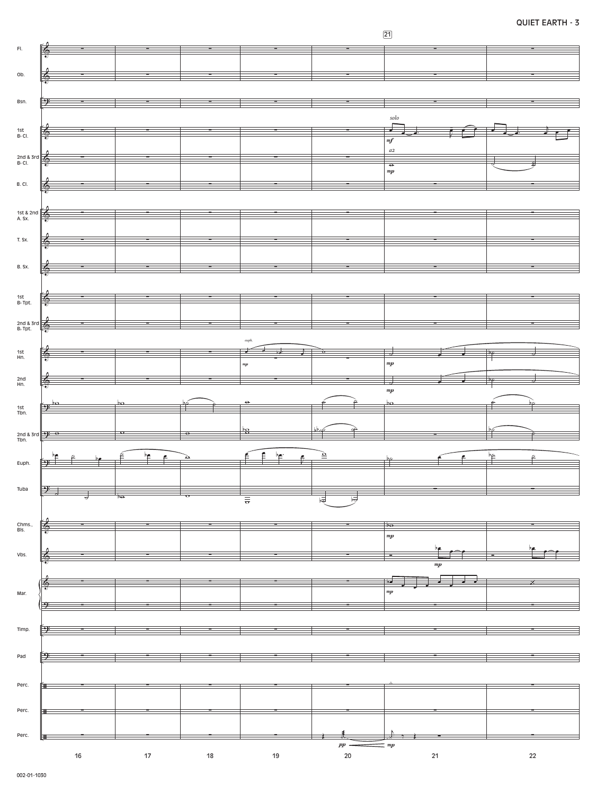屩 ∑∑∑∑∑∑∑∑∑∑∑∑∑ ∑∑∑∑∑∑∑∑∑∑∑∑∑ ∑∑∑∑∑∑∑∑∑∑∑∑∑ ∑∑∑∑∑∑∑∑∑∑∑ ∑∑∑∑∑∑∑∑∑∑∑ ∑∑∑ ∑∑∑ &&?&&&&&&&&&&????&&&???ããã *solo* Jœ- $\downarrow$ œ œ œ œ œ . . œ G œ œ œ œ  $\overline{\mathcal{M}}$ PFP *a2* 2nd & 3rd<br>B♭ Cl. ˙˙˙  $\frac{\Theta}{mp}$ ∑∑∑∑∑∑ ∑∑∑∑∑∑ ⋣ A 1st & 2nd A. Sx. T. 1st<br>B<sub>b</sub> Tpt. 2nd & 3rd<br>B<sub>'</sub> Tpt. á *euph.* œ jœ œ .  $\frac{1}{\mathbf{O}}$ b ˙  $\epsilon$ b œ  $\frac{1}{2}$ œ  $\frac{1}{2}$ œ ∑∑ ∑∑ PPP  $_{mp}$ mp b ˙ 。<br>mp œ œ ˙ ˙  $rac{e}{e}$ <br>8 ˙ ˙ b  $\frac{1}{\overline{1}}$ b  $\frac{1}{10}$  or  $\frac{1}{10}$  or  $\frac{1}{10}$  or  $\frac{1}{10}$  or  $\frac{1}{10}$  or  $\frac{1}{10}$  or  $\frac{1}{10}$  or  $\frac{1}{10}$  or  $\frac{1}{10}$  or  $\frac{1}{10}$  or  $\frac{1}{10}$  or  $\frac{1}{10}$  or  $\frac{1}{10}$  or  $\frac{1}{10}$  or  $\frac{1}{10}$  or  $\frac{1}{10}$  b é b w b ˙ ˙ ˙˙ b b 。<br>C b é b  $\frac{1}{\alpha}$  where  $\frac{1}{\alpha}$  is  $\frac{1}{\alpha}$  is  $\frac{1}{\alpha}$  is  $\frac{1}{\alpha}$  is  $\frac{1}{\alpha}$  is  $\frac{1}{\alpha}$  is  $\frac{1}{\alpha}$  is  $\frac{1}{\alpha}$  is  $\frac{1}{\alpha}$  is  $\frac{1}{\alpha}$  is  $\frac{1}{\alpha}$  is  $\frac{1}{\alpha}$  is  $\frac{1}{\alpha}$  is  $\frac{1}{\alpha}$  is  $\frac{1}{\alpha$ ˙ ∑ ⇒ 2nd & 3rd Tbn. œ œ .  $\frac{1}{\Omega}$ b œ b œ b œ b ˙ ˙ œ Jœ œ ˙œ b œ b ˙ ∑ ∑∑ ヮ ˙ b w  $\overline{a}$  $\overline{\overline{5}}$ b ˙ ほ ∑∑∑∑∑∑∑∑ ∑∑∑∑∑∑∑∑ ∑∑∑∑∑∑∑∑ ∑∑∑∑∑∑∑∑ ∑∑∑∑∑∑∑∑ o<br>p<br>I  $\overline{\mathbf{b}}$ Chms., Bls. €  $_{mp}$ b œ b œ œ œ œ œ i<br>İ  $\overline{mp}$ œ b œ œ œ 'œ œ œ œ ∑∑∑ ∑∑∑∑∑ ;  $\overline{ }$ ∑ O æŒ Œ <u>i</u> . j¿ ‰

21

16∑

17∑

18∑

19∑

20

 $mp$ 

21

 $pp$ 

Fl.

Ob.

Bsn.

1st<br>B♭ Cl.

B. Cl.

T. Sx.

B. Sx.

1st Hn.

2nd Hn.

1st<br>Tbn.

Euph.

Tuba

Vbs.

Mar.

Timp.

Perc.

Pad

Perc.

Perc.

22∑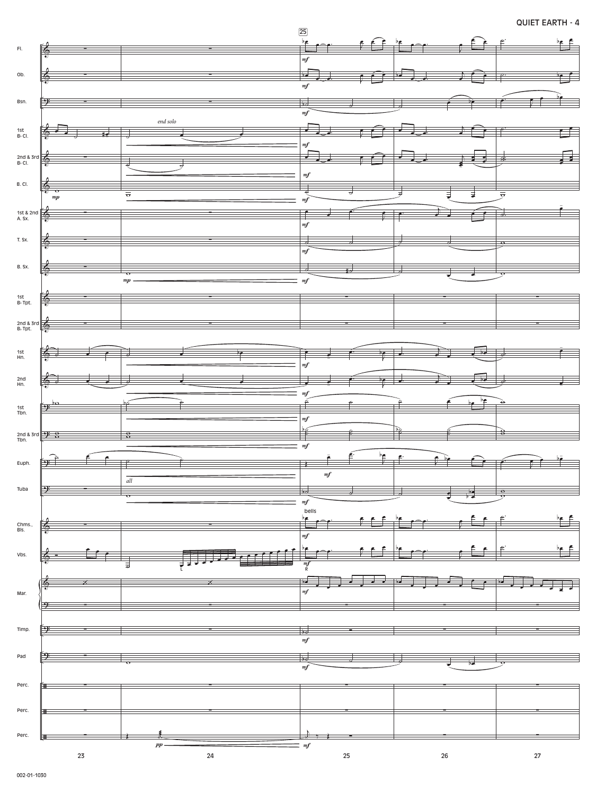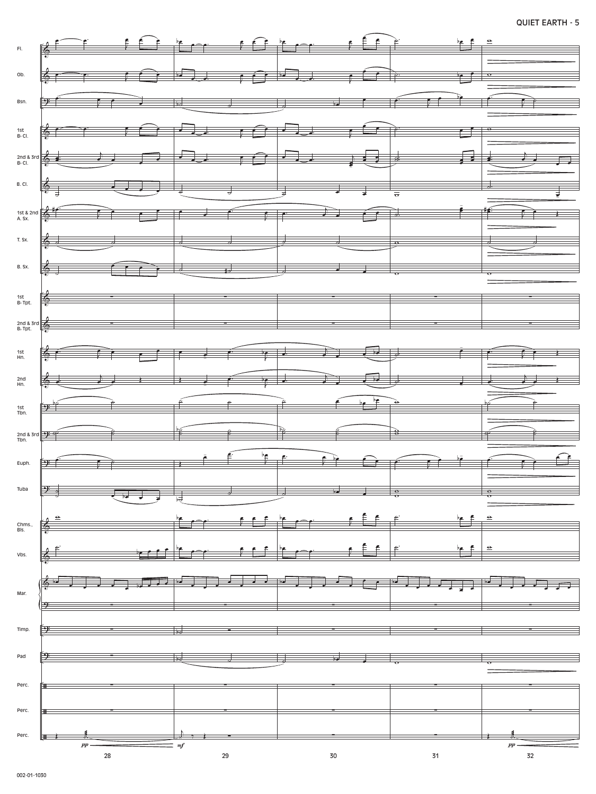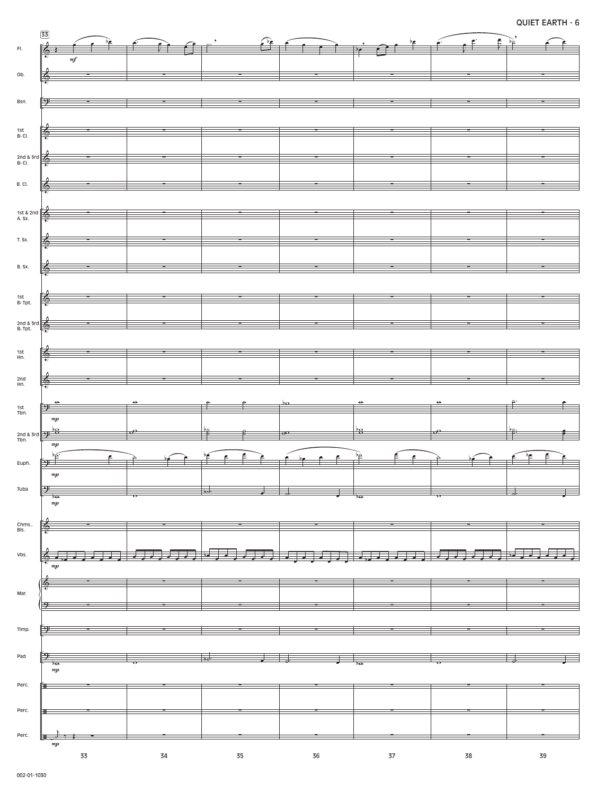| FL                                          |                         |                                                                                                                                                                                                                                                                                               |                          |                                                                    |                |                                                                                                     |                            |                         |                                                                                                                                                                                                                                                                                                                                                                                                                                                                    |                         |                         |  |
|---------------------------------------------|-------------------------|-----------------------------------------------------------------------------------------------------------------------------------------------------------------------------------------------------------------------------------------------------------------------------------------------|--------------------------|--------------------------------------------------------------------|----------------|-----------------------------------------------------------------------------------------------------|----------------------------|-------------------------|--------------------------------------------------------------------------------------------------------------------------------------------------------------------------------------------------------------------------------------------------------------------------------------------------------------------------------------------------------------------------------------------------------------------------------------------------------------------|-------------------------|-------------------------|--|
|                                             |                         |                                                                                                                                                                                                                                                                                               |                          |                                                                    |                |                                                                                                     |                            |                         |                                                                                                                                                                                                                                                                                                                                                                                                                                                                    |                         |                         |  |
| $\frac{2}{6}$<br>Ob.                        |                         |                                                                                                                                                                                                                                                                                               |                          |                                                                    | $\blacksquare$ |                                                                                                     | $\sim$ 100 $\mu$           |                         |                                                                                                                                                                                                                                                                                                                                                                                                                                                                    |                         |                         |  |
| Bsn.                                        |                         |                                                                                                                                                                                                                                                                                               |                          |                                                                    |                |                                                                                                     |                            |                         |                                                                                                                                                                                                                                                                                                                                                                                                                                                                    |                         |                         |  |
|                                             |                         |                                                                                                                                                                                                                                                                                               |                          |                                                                    |                |                                                                                                     |                            |                         |                                                                                                                                                                                                                                                                                                                                                                                                                                                                    |                         |                         |  |
| 障<br>1st<br>B⊦Cl.                           |                         |                                                                                                                                                                                                                                                                                               | ÷                        |                                                                    | $\blacksquare$ |                                                                                                     |                            |                         |                                                                                                                                                                                                                                                                                                                                                                                                                                                                    |                         |                         |  |
| 2nd & 3rd                                   |                         | $\mathbf{r}$ and $\mathbf{r}$                                                                                                                                                                                                                                                                 |                          |                                                                    |                |                                                                                                     |                            |                         |                                                                                                                                                                                                                                                                                                                                                                                                                                                                    |                         |                         |  |
| $B.$ Cl.<br>$\frac{2}{3}$                   |                         |                                                                                                                                                                                                                                                                                               |                          |                                                                    |                |                                                                                                     |                            |                         |                                                                                                                                                                                                                                                                                                                                                                                                                                                                    |                         |                         |  |
|                                             |                         |                                                                                                                                                                                                                                                                                               |                          |                                                                    |                |                                                                                                     |                            |                         |                                                                                                                                                                                                                                                                                                                                                                                                                                                                    |                         |                         |  |
| 1st & 2nd                                   |                         |                                                                                                                                                                                                                                                                                               |                          |                                                                    |                |                                                                                                     |                            |                         |                                                                                                                                                                                                                                                                                                                                                                                                                                                                    |                         |                         |  |
| T. SX.                                      |                         | $\frac{1}{\sqrt{2}}$ . The contract of the contract of the contract of the contract of the contract of the contract of the contract of the contract of the contract of the contract of the contract of the contract of the contract o                                                         |                          |                                                                    |                |                                                                                                     |                            |                         |                                                                                                                                                                                                                                                                                                                                                                                                                                                                    |                         |                         |  |
| B. Sx.                                      |                         | $\frac{2}{3}$ and $\frac{2}{3}$ and $\frac{2}{3}$ and $\frac{2}{3}$ and $\frac{2}{3}$ and $\frac{2}{3}$ and $\frac{2}{3}$ and $\frac{2}{3}$ and $\frac{2}{3}$ and $\frac{2}{3}$ and $\frac{2}{3}$ and $\frac{2}{3}$ and $\frac{2}{3}$ and $\frac{2}{3}$ and $\frac{2}{3}$ and $\frac{2}{3}$ a |                          |                                                                    |                |                                                                                                     |                            |                         |                                                                                                                                                                                                                                                                                                                                                                                                                                                                    |                         |                         |  |
|                                             |                         |                                                                                                                                                                                                                                                                                               |                          |                                                                    |                |                                                                                                     |                            |                         |                                                                                                                                                                                                                                                                                                                                                                                                                                                                    |                         |                         |  |
| $\frac{2}{9}$<br>1st<br>B <sub>i</sub> Tpt. |                         |                                                                                                                                                                                                                                                                                               |                          |                                                                    |                |                                                                                                     | $\mathcal{L}_{\text{max}}$ |                         |                                                                                                                                                                                                                                                                                                                                                                                                                                                                    |                         |                         |  |
| 2nd & 3rd                                   |                         |                                                                                                                                                                                                                                                                                               |                          | $\overline{\phantom{a}}$ , and the set of $\overline{\phantom{a}}$ |                | Ξ.                                                                                                  |                            |                         |                                                                                                                                                                                                                                                                                                                                                                                                                                                                    |                         |                         |  |
| 6                                           |                         |                                                                                                                                                                                                                                                                                               |                          |                                                                    |                |                                                                                                     |                            |                         |                                                                                                                                                                                                                                                                                                                                                                                                                                                                    |                         |                         |  |
| 1st<br>Hn.                                  |                         |                                                                                                                                                                                                                                                                                               |                          |                                                                    |                |                                                                                                     |                            |                         |                                                                                                                                                                                                                                                                                                                                                                                                                                                                    |                         |                         |  |
| $\frac{2}{6}$<br>2nd<br>Hn.                 |                         |                                                                                                                                                                                                                                                                                               | Ξ                        | $\overline{\phantom{a}}$                                           |                |                                                                                                     |                            |                         |                                                                                                                                                                                                                                                                                                                                                                                                                                                                    |                         |                         |  |
| $\mathbb{R}^{\circ}$<br>1st<br>Tbn.         |                         |                                                                                                                                                                                                                                                                                               |                          | $\mathbb{I}$                                                       |                |                                                                                                     |                            |                         | $\begin{array}{c c c c} \multicolumn{3}{c }{\theta} & \multicolumn{3}{c }{\theta} \\ \hline \multicolumn{3}{c }{\textbf{1}} & \multicolumn{3}{c }{\textbf{2}} & \multicolumn{3}{c }{\textbf{3}} \\ \multicolumn{3}{c }{\textbf{2}} & \multicolumn{3}{c }{\textbf{4}} & \multicolumn{3}{c }{\textbf{5}} \\ \multicolumn{3}{c }{\textbf{5}} & \multicolumn{3}{c }{\textbf{6}} & \multicolumn{3}{c }{\textbf{6}} \\ \multicolumn{3}{c }{\textbf{6}} & \multicolumn{3$ |                         | $\frac{\rho}{\sqrt{2}}$ |  |
| 2nd & 3rd $\frac{b}{3}$                     | mp                      | $\infty$                                                                                                                                                                                                                                                                                      | $\frac{b}{b}$ 8 $\infty$ |                                                                    |                |                                                                                                     |                            | $\overline{\mathbf{B}}$ |                                                                                                                                                                                                                                                                                                                                                                                                                                                                    |                         |                         |  |
| TDN.                                        | $_{mp}$                 |                                                                                                                                                                                                                                                                                               |                          |                                                                    |                |                                                                                                     |                            |                         |                                                                                                                                                                                                                                                                                                                                                                                                                                                                    | $\frac{\infty}{\infty}$ |                         |  |
| Euph.                                       |                         |                                                                                                                                                                                                                                                                                               |                          |                                                                    |                |                                                                                                     |                            |                         |                                                                                                                                                                                                                                                                                                                                                                                                                                                                    |                         | $\frac{b}{c}$ :         |  |
|                                             | $\it mp$                |                                                                                                                                                                                                                                                                                               |                          |                                                                    |                |                                                                                                     |                            |                         |                                                                                                                                                                                                                                                                                                                                                                                                                                                                    |                         |                         |  |
| Tuba                                        |                         |                                                                                                                                                                                                                                                                                               |                          |                                                                    |                |                                                                                                     |                            |                         |                                                                                                                                                                                                                                                                                                                                                                                                                                                                    |                         |                         |  |
|                                             | $\it mp$                |                                                                                                                                                                                                                                                                                               |                          |                                                                    |                |                                                                                                     |                            |                         |                                                                                                                                                                                                                                                                                                                                                                                                                                                                    |                         |                         |  |
| Chms.,<br>Bls.                              |                         |                                                                                                                                                                                                                                                                                               |                          |                                                                    |                |                                                                                                     |                            |                         |                                                                                                                                                                                                                                                                                                                                                                                                                                                                    |                         |                         |  |
| Vbs.                                        |                         |                                                                                                                                                                                                                                                                                               |                          |                                                                    |                | $\overline{1}$ , $\overline{1}$ , $\overline{1}$ , $\overline{1}$ , $\overline{1}$ , $\overline{1}$ |                            |                         |                                                                                                                                                                                                                                                                                                                                                                                                                                                                    |                         |                         |  |
|                                             | mp                      |                                                                                                                                                                                                                                                                                               |                          |                                                                    |                |                                                                                                     |                            |                         |                                                                                                                                                                                                                                                                                                                                                                                                                                                                    |                         |                         |  |
| 6<br>Mar.                                   |                         |                                                                                                                                                                                                                                                                                               |                          |                                                                    |                |                                                                                                     |                            |                         |                                                                                                                                                                                                                                                                                                                                                                                                                                                                    |                         |                         |  |
|                                             |                         |                                                                                                                                                                                                                                                                                               |                          |                                                                    |                |                                                                                                     |                            |                         |                                                                                                                                                                                                                                                                                                                                                                                                                                                                    |                         |                         |  |
| Timp.                                       |                         |                                                                                                                                                                                                                                                                                               |                          |                                                                    |                |                                                                                                     |                            |                         |                                                                                                                                                                                                                                                                                                                                                                                                                                                                    |                         |                         |  |
| Pad                                         | $\overline{\mathbf{b}}$ |                                                                                                                                                                                                                                                                                               |                          |                                                                    |                |                                                                                                     |                            |                         |                                                                                                                                                                                                                                                                                                                                                                                                                                                                    |                         |                         |  |
| Perc.                                       | $_{mp}$                 |                                                                                                                                                                                                                                                                                               |                          |                                                                    |                |                                                                                                     |                            |                         |                                                                                                                                                                                                                                                                                                                                                                                                                                                                    |                         |                         |  |
|                                             |                         |                                                                                                                                                                                                                                                                                               |                          |                                                                    |                |                                                                                                     |                            |                         |                                                                                                                                                                                                                                                                                                                                                                                                                                                                    |                         |                         |  |
| Perc.<br>Perc.                              |                         |                                                                                                                                                                                                                                                                                               |                          |                                                                    |                |                                                                                                     |                            |                         |                                                                                                                                                                                                                                                                                                                                                                                                                                                                    |                         |                         |  |

39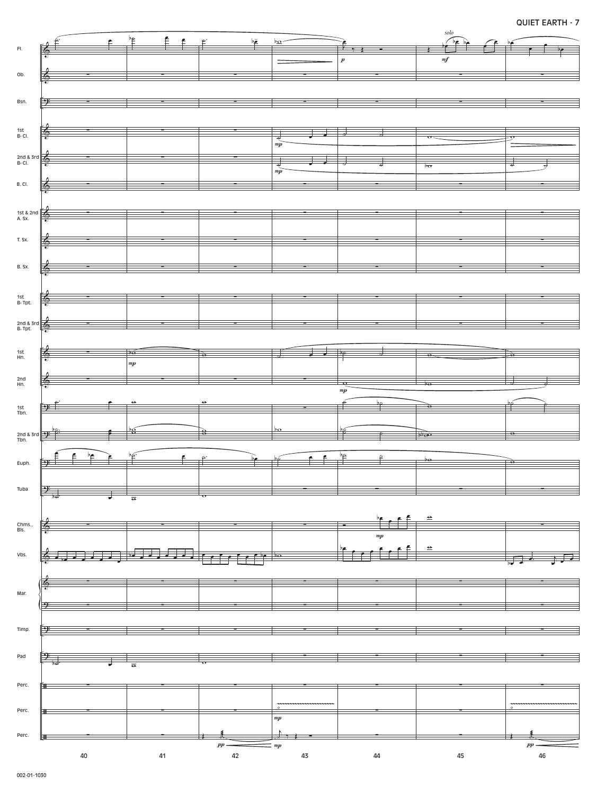|                             |                                                                                                                                                                                                                                                                                                                                                                                                                                                                                                                                |                          |                |               |                          |                                                                                                                                                                                                                                                                                                                                                                                                                          |                                                                                                                                                                                                                                                                                                                                                                                                                        |                               |                                                                                                                                                                                                                                                                                                                                               |                     | solo<br>$\frac{\sqrt{b^2 - b^2}}{\sqrt{b^2 - b^2}}$ |                      |                      |               |  |  |
|-----------------------------|--------------------------------------------------------------------------------------------------------------------------------------------------------------------------------------------------------------------------------------------------------------------------------------------------------------------------------------------------------------------------------------------------------------------------------------------------------------------------------------------------------------------------------|--------------------------|----------------|---------------|--------------------------|--------------------------------------------------------------------------------------------------------------------------------------------------------------------------------------------------------------------------------------------------------------------------------------------------------------------------------------------------------------------------------------------------------------------------|------------------------------------------------------------------------------------------------------------------------------------------------------------------------------------------------------------------------------------------------------------------------------------------------------------------------------------------------------------------------------------------------------------------------|-------------------------------|-----------------------------------------------------------------------------------------------------------------------------------------------------------------------------------------------------------------------------------------------------------------------------------------------------------------------------------------------|---------------------|-----------------------------------------------------|----------------------|----------------------|---------------|--|--|
| $\overline{\mathsf{FL}}$    | 6                                                                                                                                                                                                                                                                                                                                                                                                                                                                                                                              | $\mathbf{f}$             |                |               |                          | $\begin{array}{c c c c c c} \hline \mathbf{e} & \mathbf{e} & \mathbf{e} & \mathbf{e} & \mathbf{e} & \mathbf{e} & \mathbf{e} & \mathbf{e} & \mathbf{e} & \mathbf{e} & \mathbf{e} & \mathbf{e} & \mathbf{e} & \mathbf{e} & \mathbf{e} & \mathbf{e} & \mathbf{e} & \mathbf{e} & \mathbf{e} & \mathbf{e} & \mathbf{e} & \mathbf{e} & \mathbf{e} & \mathbf{e} & \mathbf{e} & \mathbf{e} & \mathbf{e} & \mathbf{e} & \mathbf{$ |                                                                                                                                                                                                                                                                                                                                                                                                                        |                               | $\mathbb{P}\cdot\mathbb{R}$                                                                                                                                                                                                                                                                                                                   |                     |                                                     |                      |                      | $\frac{1}{2}$ |  |  |
|                             |                                                                                                                                                                                                                                                                                                                                                                                                                                                                                                                                |                          |                |               |                          |                                                                                                                                                                                                                                                                                                                                                                                                                          |                                                                                                                                                                                                                                                                                                                                                                                                                        |                               |                                                                                                                                                                                                                                                                                                                                               |                     |                                                     |                      |                      |               |  |  |
|                             |                                                                                                                                                                                                                                                                                                                                                                                                                                                                                                                                |                          |                |               |                          |                                                                                                                                                                                                                                                                                                                                                                                                                          |                                                                                                                                                                                                                                                                                                                                                                                                                        |                               | $\boldsymbol{p}$                                                                                                                                                                                                                                                                                                                              |                     |                                                     |                      |                      |               |  |  |
| Ob.                         |                                                                                                                                                                                                                                                                                                                                                                                                                                                                                                                                |                          |                |               |                          |                                                                                                                                                                                                                                                                                                                                                                                                                          |                                                                                                                                                                                                                                                                                                                                                                                                                        |                               |                                                                                                                                                                                                                                                                                                                                               |                     |                                                     |                      |                      |               |  |  |
|                             |                                                                                                                                                                                                                                                                                                                                                                                                                                                                                                                                |                          |                |               |                          |                                                                                                                                                                                                                                                                                                                                                                                                                          |                                                                                                                                                                                                                                                                                                                                                                                                                        |                               |                                                                                                                                                                                                                                                                                                                                               |                     |                                                     |                      |                      |               |  |  |
|                             |                                                                                                                                                                                                                                                                                                                                                                                                                                                                                                                                |                          |                |               |                          |                                                                                                                                                                                                                                                                                                                                                                                                                          |                                                                                                                                                                                                                                                                                                                                                                                                                        |                               |                                                                                                                                                                                                                                                                                                                                               |                     |                                                     |                      |                      |               |  |  |
|                             |                                                                                                                                                                                                                                                                                                                                                                                                                                                                                                                                |                          |                |               |                          |                                                                                                                                                                                                                                                                                                                                                                                                                          |                                                                                                                                                                                                                                                                                                                                                                                                                        |                               |                                                                                                                                                                                                                                                                                                                                               |                     |                                                     |                      |                      |               |  |  |
| Bsn.                        |                                                                                                                                                                                                                                                                                                                                                                                                                                                                                                                                |                          |                |               |                          |                                                                                                                                                                                                                                                                                                                                                                                                                          |                                                                                                                                                                                                                                                                                                                                                                                                                        |                               |                                                                                                                                                                                                                                                                                                                                               |                     |                                                     |                      |                      |               |  |  |
|                             |                                                                                                                                                                                                                                                                                                                                                                                                                                                                                                                                |                          |                |               |                          |                                                                                                                                                                                                                                                                                                                                                                                                                          |                                                                                                                                                                                                                                                                                                                                                                                                                        |                               |                                                                                                                                                                                                                                                                                                                                               |                     |                                                     |                      |                      |               |  |  |
|                             |                                                                                                                                                                                                                                                                                                                                                                                                                                                                                                                                |                          |                |               |                          |                                                                                                                                                                                                                                                                                                                                                                                                                          |                                                                                                                                                                                                                                                                                                                                                                                                                        |                               |                                                                                                                                                                                                                                                                                                                                               |                     |                                                     |                      |                      |               |  |  |
| 1st<br>B $\overline{b}$ Cl. |                                                                                                                                                                                                                                                                                                                                                                                                                                                                                                                                |                          |                |               |                          |                                                                                                                                                                                                                                                                                                                                                                                                                          |                                                                                                                                                                                                                                                                                                                                                                                                                        |                               |                                                                                                                                                                                                                                                                                                                                               |                     |                                                     |                      |                      |               |  |  |
|                             |                                                                                                                                                                                                                                                                                                                                                                                                                                                                                                                                |                          |                |               |                          |                                                                                                                                                                                                                                                                                                                                                                                                                          | $\begin{array}{ c c } \hline \rule{0pt}{12pt} & \rule{0pt}{12pt} \\ \hline \rule{0pt}{12pt} & \rule{0pt}{12pt} \\ \rule{0pt}{12pt} & \rule{0pt}{12pt} \\ \hline \rule{0pt}{12pt} & \rule{0pt}{12pt} \\ \hline \rule{0pt}{12pt} & \rule{0pt}{12pt} \\ \hline \rule{0pt}{12pt} & \rule{0pt}{12pt} \\ \hline \rule{0pt}{12pt} & \rule{0pt}{12pt} \\ \hline \rule{0pt}{12pt} & \rule{0pt}{12pt} \\ \hline \rule{0pt}{12pt$ |                               |                                                                                                                                                                                                                                                                                                                                               |                     | $\sigma$                                            |                      | $\frac{1}{\sqrt{2}}$ |               |  |  |
|                             |                                                                                                                                                                                                                                                                                                                                                                                                                                                                                                                                |                          |                |               |                          |                                                                                                                                                                                                                                                                                                                                                                                                                          |                                                                                                                                                                                                                                                                                                                                                                                                                        |                               |                                                                                                                                                                                                                                                                                                                                               |                     |                                                     |                      |                      |               |  |  |
| 2nd & 3rd                   |                                                                                                                                                                                                                                                                                                                                                                                                                                                                                                                                |                          |                |               | $\overline{\phantom{a}}$ |                                                                                                                                                                                                                                                                                                                                                                                                                          |                                                                                                                                                                                                                                                                                                                                                                                                                        |                               |                                                                                                                                                                                                                                                                                                                                               |                     |                                                     |                      |                      |               |  |  |
|                             |                                                                                                                                                                                                                                                                                                                                                                                                                                                                                                                                |                          |                |               |                          |                                                                                                                                                                                                                                                                                                                                                                                                                          | $\frac{1}{\phi}$                                                                                                                                                                                                                                                                                                                                                                                                       |                               |                                                                                                                                                                                                                                                                                                                                               |                     | $\overline{b\sigma}$                                |                      | 긓                    |               |  |  |
|                             |                                                                                                                                                                                                                                                                                                                                                                                                                                                                                                                                |                          |                |               |                          |                                                                                                                                                                                                                                                                                                                                                                                                                          |                                                                                                                                                                                                                                                                                                                                                                                                                        |                               |                                                                                                                                                                                                                                                                                                                                               |                     |                                                     |                      |                      |               |  |  |
| $B.$ Cl.                    |                                                                                                                                                                                                                                                                                                                                                                                                                                                                                                                                |                          |                |               |                          |                                                                                                                                                                                                                                                                                                                                                                                                                          |                                                                                                                                                                                                                                                                                                                                                                                                                        |                               |                                                                                                                                                                                                                                                                                                                                               |                     |                                                     |                      |                      |               |  |  |
|                             |                                                                                                                                                                                                                                                                                                                                                                                                                                                                                                                                |                          |                |               |                          |                                                                                                                                                                                                                                                                                                                                                                                                                          |                                                                                                                                                                                                                                                                                                                                                                                                                        |                               |                                                                                                                                                                                                                                                                                                                                               |                     |                                                     |                      |                      |               |  |  |
|                             |                                                                                                                                                                                                                                                                                                                                                                                                                                                                                                                                |                          |                |               |                          |                                                                                                                                                                                                                                                                                                                                                                                                                          |                                                                                                                                                                                                                                                                                                                                                                                                                        |                               |                                                                                                                                                                                                                                                                                                                                               |                     |                                                     |                      |                      |               |  |  |
|                             |                                                                                                                                                                                                                                                                                                                                                                                                                                                                                                                                |                          |                |               |                          |                                                                                                                                                                                                                                                                                                                                                                                                                          |                                                                                                                                                                                                                                                                                                                                                                                                                        |                               |                                                                                                                                                                                                                                                                                                                                               |                     |                                                     |                      |                      |               |  |  |
| 1st & 2nd                   |                                                                                                                                                                                                                                                                                                                                                                                                                                                                                                                                |                          |                |               |                          |                                                                                                                                                                                                                                                                                                                                                                                                                          |                                                                                                                                                                                                                                                                                                                                                                                                                        |                               |                                                                                                                                                                                                                                                                                                                                               |                     |                                                     |                      |                      |               |  |  |
|                             |                                                                                                                                                                                                                                                                                                                                                                                                                                                                                                                                |                          |                |               |                          |                                                                                                                                                                                                                                                                                                                                                                                                                          |                                                                                                                                                                                                                                                                                                                                                                                                                        |                               |                                                                                                                                                                                                                                                                                                                                               |                     |                                                     |                      |                      |               |  |  |
|                             |                                                                                                                                                                                                                                                                                                                                                                                                                                                                                                                                |                          |                |               |                          |                                                                                                                                                                                                                                                                                                                                                                                                                          |                                                                                                                                                                                                                                                                                                                                                                                                                        |                               |                                                                                                                                                                                                                                                                                                                                               |                     |                                                     |                      |                      |               |  |  |
| T. SX.                      |                                                                                                                                                                                                                                                                                                                                                                                                                                                                                                                                |                          |                | Ξ             |                          |                                                                                                                                                                                                                                                                                                                                                                                                                          |                                                                                                                                                                                                                                                                                                                                                                                                                        |                               |                                                                                                                                                                                                                                                                                                                                               |                     |                                                     |                      |                      |               |  |  |
|                             |                                                                                                                                                                                                                                                                                                                                                                                                                                                                                                                                |                          |                |               |                          |                                                                                                                                                                                                                                                                                                                                                                                                                          |                                                                                                                                                                                                                                                                                                                                                                                                                        |                               |                                                                                                                                                                                                                                                                                                                                               |                     |                                                     |                      |                      |               |  |  |
|                             |                                                                                                                                                                                                                                                                                                                                                                                                                                                                                                                                |                          |                |               |                          |                                                                                                                                                                                                                                                                                                                                                                                                                          |                                                                                                                                                                                                                                                                                                                                                                                                                        |                               |                                                                                                                                                                                                                                                                                                                                               |                     |                                                     |                      |                      |               |  |  |
| <b>B.</b> SX.               | 屖                                                                                                                                                                                                                                                                                                                                                                                                                                                                                                                              |                          |                |               |                          |                                                                                                                                                                                                                                                                                                                                                                                                                          |                                                                                                                                                                                                                                                                                                                                                                                                                        |                               |                                                                                                                                                                                                                                                                                                                                               |                     |                                                     |                      |                      |               |  |  |
|                             |                                                                                                                                                                                                                                                                                                                                                                                                                                                                                                                                |                          |                |               |                          |                                                                                                                                                                                                                                                                                                                                                                                                                          |                                                                                                                                                                                                                                                                                                                                                                                                                        |                               |                                                                                                                                                                                                                                                                                                                                               |                     |                                                     |                      |                      |               |  |  |
|                             |                                                                                                                                                                                                                                                                                                                                                                                                                                                                                                                                |                          |                |               |                          |                                                                                                                                                                                                                                                                                                                                                                                                                          |                                                                                                                                                                                                                                                                                                                                                                                                                        |                               |                                                                                                                                                                                                                                                                                                                                               |                     |                                                     |                      |                      |               |  |  |
| 1st<br>B <sub>2</sub> Tpt.  | 庵                                                                                                                                                                                                                                                                                                                                                                                                                                                                                                                              |                          |                |               |                          |                                                                                                                                                                                                                                                                                                                                                                                                                          |                                                                                                                                                                                                                                                                                                                                                                                                                        |                               |                                                                                                                                                                                                                                                                                                                                               |                     |                                                     |                      |                      |               |  |  |
|                             |                                                                                                                                                                                                                                                                                                                                                                                                                                                                                                                                |                          |                |               |                          |                                                                                                                                                                                                                                                                                                                                                                                                                          |                                                                                                                                                                                                                                                                                                                                                                                                                        |                               |                                                                                                                                                                                                                                                                                                                                               |                     |                                                     |                      |                      |               |  |  |
|                             |                                                                                                                                                                                                                                                                                                                                                                                                                                                                                                                                |                          |                |               |                          |                                                                                                                                                                                                                                                                                                                                                                                                                          |                                                                                                                                                                                                                                                                                                                                                                                                                        |                               |                                                                                                                                                                                                                                                                                                                                               |                     |                                                     |                      |                      |               |  |  |
| 2nd & 3rd                   |                                                                                                                                                                                                                                                                                                                                                                                                                                                                                                                                |                          |                |               |                          |                                                                                                                                                                                                                                                                                                                                                                                                                          |                                                                                                                                                                                                                                                                                                                                                                                                                        |                               |                                                                                                                                                                                                                                                                                                                                               |                     |                                                     |                      |                      |               |  |  |
|                             |                                                                                                                                                                                                                                                                                                                                                                                                                                                                                                                                |                          |                |               |                          |                                                                                                                                                                                                                                                                                                                                                                                                                          |                                                                                                                                                                                                                                                                                                                                                                                                                        |                               |                                                                                                                                                                                                                                                                                                                                               |                     |                                                     |                      |                      |               |  |  |
|                             |                                                                                                                                                                                                                                                                                                                                                                                                                                                                                                                                |                          |                |               |                          |                                                                                                                                                                                                                                                                                                                                                                                                                          |                                                                                                                                                                                                                                                                                                                                                                                                                        |                               |                                                                                                                                                                                                                                                                                                                                               |                     |                                                     |                      |                      |               |  |  |
|                             |                                                                                                                                                                                                                                                                                                                                                                                                                                                                                                                                |                          | $\frac{1}{20}$ |               |                          |                                                                                                                                                                                                                                                                                                                                                                                                                          |                                                                                                                                                                                                                                                                                                                                                                                                                        |                               |                                                                                                                                                                                                                                                                                                                                               |                     |                                                     |                      |                      |               |  |  |
| 1st<br>Hn.                  | $\frac{1}{2}$                                                                                                                                                                                                                                                                                                                                                                                                                                                                                                                  |                          |                |               | $\rightarrow$            |                                                                                                                                                                                                                                                                                                                                                                                                                          |                                                                                                                                                                                                                                                                                                                                                                                                                        |                               |                                                                                                                                                                                                                                                                                                                                               |                     | $\overline{\bullet}$                                |                      |                      |               |  |  |
|                             |                                                                                                                                                                                                                                                                                                                                                                                                                                                                                                                                |                          | mp             |               |                          |                                                                                                                                                                                                                                                                                                                                                                                                                          |                                                                                                                                                                                                                                                                                                                                                                                                                        |                               |                                                                                                                                                                                                                                                                                                                                               |                     |                                                     |                      |                      |               |  |  |
|                             |                                                                                                                                                                                                                                                                                                                                                                                                                                                                                                                                |                          |                |               |                          |                                                                                                                                                                                                                                                                                                                                                                                                                          |                                                                                                                                                                                                                                                                                                                                                                                                                        | $\mathbf{r}$ and $\mathbf{r}$ |                                                                                                                                                                                                                                                                                                                                               |                     |                                                     |                      |                      |               |  |  |
| 2nd<br>Hn.                  |                                                                                                                                                                                                                                                                                                                                                                                                                                                                                                                                |                          |                |               |                          |                                                                                                                                                                                                                                                                                                                                                                                                                          |                                                                                                                                                                                                                                                                                                                                                                                                                        |                               | $\overline{\phantom{a}}^{\circ}$                                                                                                                                                                                                                                                                                                              |                     |                                                     |                      |                      |               |  |  |
|                             |                                                                                                                                                                                                                                                                                                                                                                                                                                                                                                                                |                          |                |               |                          |                                                                                                                                                                                                                                                                                                                                                                                                                          |                                                                                                                                                                                                                                                                                                                                                                                                                        |                               | $\it mp$                                                                                                                                                                                                                                                                                                                                      |                     |                                                     |                      |                      |               |  |  |
|                             |                                                                                                                                                                                                                                                                                                                                                                                                                                                                                                                                |                          |                |               |                          |                                                                                                                                                                                                                                                                                                                                                                                                                          |                                                                                                                                                                                                                                                                                                                                                                                                                        |                               |                                                                                                                                                                                                                                                                                                                                               |                     |                                                     |                      |                      |               |  |  |
| $1st$<br>Tbn.               | Þ                                                                                                                                                                                                                                                                                                                                                                                                                                                                                                                              |                          |                |               |                          |                                                                                                                                                                                                                                                                                                                                                                                                                          |                                                                                                                                                                                                                                                                                                                                                                                                                        |                               |                                                                                                                                                                                                                                                                                                                                               |                     |                                                     |                      |                      |               |  |  |
|                             |                                                                                                                                                                                                                                                                                                                                                                                                                                                                                                                                |                          |                |               |                          |                                                                                                                                                                                                                                                                                                                                                                                                                          |                                                                                                                                                                                                                                                                                                                                                                                                                        |                               |                                                                                                                                                                                                                                                                                                                                               |                     |                                                     |                      |                      |               |  |  |
|                             |                                                                                                                                                                                                                                                                                                                                                                                                                                                                                                                                |                          |                | $\frac{1}{8}$ |                          |                                                                                                                                                                                                                                                                                                                                                                                                                          | $b$ o                                                                                                                                                                                                                                                                                                                                                                                                                  |                               | $\frac{b}{6}$                                                                                                                                                                                                                                                                                                                                 |                     |                                                     |                      |                      |               |  |  |
|                             | 2nd & 3rd $\overrightarrow{y}$ $\overrightarrow{z}$ $\overrightarrow{z}$ $\overrightarrow{z}$ $\overrightarrow{z}$ $\overrightarrow{z}$ $\overrightarrow{z}$ $\overrightarrow{z}$ $\overrightarrow{z}$ $\overrightarrow{z}$ $\overrightarrow{z}$ $\overrightarrow{z}$ $\overrightarrow{z}$ $\overrightarrow{z}$ $\overrightarrow{z}$ $\overrightarrow{z}$ $\overrightarrow{z}$ $\overrightarrow{z}$ $\overrightarrow{z}$ $\overrightarrow{z}$ $\overrightarrow{z}$ $\overrightarrow{z}$ $\overrightarrow{z}$ $\overrightarrow$ | $\overline{\phantom{a}}$ |                |               |                          |                                                                                                                                                                                                                                                                                                                                                                                                                          |                                                                                                                                                                                                                                                                                                                                                                                                                        |                               |                                                                                                                                                                                                                                                                                                                                               | $\frac{\rho}{\rho}$ | $\overrightarrow{b\infty}$                          |                      | $\overline{\bullet}$ |               |  |  |
|                             |                                                                                                                                                                                                                                                                                                                                                                                                                                                                                                                                |                          |                |               |                          |                                                                                                                                                                                                                                                                                                                                                                                                                          |                                                                                                                                                                                                                                                                                                                                                                                                                        |                               |                                                                                                                                                                                                                                                                                                                                               |                     |                                                     |                      |                      |               |  |  |
|                             |                                                                                                                                                                                                                                                                                                                                                                                                                                                                                                                                |                          |                |               |                          | $^{\circ}$                                                                                                                                                                                                                                                                                                                                                                                                               |                                                                                                                                                                                                                                                                                                                                                                                                                        |                               | $\frac{b}{c}$ $\frac{c}{c}$ $\frac{b}{c}$ $\frac{c}{c}$ $\frac{c}{c}$ $\frac{c}{c}$                                                                                                                                                                                                                                                           |                     |                                                     |                      |                      |               |  |  |
| Euph.                       | $\mathbf{p}$                                                                                                                                                                                                                                                                                                                                                                                                                                                                                                                   |                          |                |               |                          |                                                                                                                                                                                                                                                                                                                                                                                                                          |                                                                                                                                                                                                                                                                                                                                                                                                                        |                               |                                                                                                                                                                                                                                                                                                                                               |                     |                                                     | $\overrightarrow{e}$ |                      |               |  |  |
|                             |                                                                                                                                                                                                                                                                                                                                                                                                                                                                                                                                |                          |                |               |                          |                                                                                                                                                                                                                                                                                                                                                                                                                          |                                                                                                                                                                                                                                                                                                                                                                                                                        |                               |                                                                                                                                                                                                                                                                                                                                               |                     |                                                     |                      |                      |               |  |  |
|                             |                                                                                                                                                                                                                                                                                                                                                                                                                                                                                                                                |                          |                |               |                          |                                                                                                                                                                                                                                                                                                                                                                                                                          |                                                                                                                                                                                                                                                                                                                                                                                                                        |                               |                                                                                                                                                                                                                                                                                                                                               |                     |                                                     |                      |                      |               |  |  |
| Tuba                        | Þ                                                                                                                                                                                                                                                                                                                                                                                                                                                                                                                              |                          |                |               |                          |                                                                                                                                                                                                                                                                                                                                                                                                                          |                                                                                                                                                                                                                                                                                                                                                                                                                        | $\overline{\phantom{a}}$      |                                                                                                                                                                                                                                                                                                                                               |                     |                                                     |                      |                      |               |  |  |
|                             |                                                                                                                                                                                                                                                                                                                                                                                                                                                                                                                                |                          |                |               |                          |                                                                                                                                                                                                                                                                                                                                                                                                                          |                                                                                                                                                                                                                                                                                                                                                                                                                        |                               |                                                                                                                                                                                                                                                                                                                                               |                     |                                                     |                      |                      |               |  |  |
|                             |                                                                                                                                                                                                                                                                                                                                                                                                                                                                                                                                |                          |                |               |                          |                                                                                                                                                                                                                                                                                                                                                                                                                          |                                                                                                                                                                                                                                                                                                                                                                                                                        |                               |                                                                                                                                                                                                                                                                                                                                               |                     |                                                     |                      |                      |               |  |  |
|                             |                                                                                                                                                                                                                                                                                                                                                                                                                                                                                                                                |                          |                |               |                          |                                                                                                                                                                                                                                                                                                                                                                                                                          |                                                                                                                                                                                                                                                                                                                                                                                                                        |                               |                                                                                                                                                                                                                                                                                                                                               |                     |                                                     |                      |                      |               |  |  |
| Chms.,<br>Bls.              | $\frac{6}{3}$                                                                                                                                                                                                                                                                                                                                                                                                                                                                                                                  |                          |                |               |                          |                                                                                                                                                                                                                                                                                                                                                                                                                          |                                                                                                                                                                                                                                                                                                                                                                                                                        |                               | $\mathbf{F}$                                                                                                                                                                                                                                                                                                                                  |                     |                                                     |                      |                      |               |  |  |
|                             |                                                                                                                                                                                                                                                                                                                                                                                                                                                                                                                                |                          |                |               |                          |                                                                                                                                                                                                                                                                                                                                                                                                                          |                                                                                                                                                                                                                                                                                                                                                                                                                        |                               |                                                                                                                                                                                                                                                                                                                                               |                     |                                                     |                      |                      |               |  |  |
|                             |                                                                                                                                                                                                                                                                                                                                                                                                                                                                                                                                |                          |                |               |                          |                                                                                                                                                                                                                                                                                                                                                                                                                          |                                                                                                                                                                                                                                                                                                                                                                                                                        |                               |                                                                                                                                                                                                                                                                                                                                               |                     |                                                     |                      |                      |               |  |  |
| Vbs.                        |                                                                                                                                                                                                                                                                                                                                                                                                                                                                                                                                |                          |                |               |                          |                                                                                                                                                                                                                                                                                                                                                                                                                          |                                                                                                                                                                                                                                                                                                                                                                                                                        |                               |                                                                                                                                                                                                                                                                                                                                               |                     |                                                     |                      |                      |               |  |  |
|                             |                                                                                                                                                                                                                                                                                                                                                                                                                                                                                                                                |                          |                |               |                          |                                                                                                                                                                                                                                                                                                                                                                                                                          |                                                                                                                                                                                                                                                                                                                                                                                                                        |                               |                                                                                                                                                                                                                                                                                                                                               |                     |                                                     |                      |                      |               |  |  |
|                             |                                                                                                                                                                                                                                                                                                                                                                                                                                                                                                                                |                          |                |               |                          |                                                                                                                                                                                                                                                                                                                                                                                                                          |                                                                                                                                                                                                                                                                                                                                                                                                                        |                               |                                                                                                                                                                                                                                                                                                                                               |                     |                                                     |                      |                      |               |  |  |
|                             |                                                                                                                                                                                                                                                                                                                                                                                                                                                                                                                                |                          |                |               |                          |                                                                                                                                                                                                                                                                                                                                                                                                                          |                                                                                                                                                                                                                                                                                                                                                                                                                        |                               |                                                                                                                                                                                                                                                                                                                                               |                     |                                                     |                      |                      |               |  |  |
|                             |                                                                                                                                                                                                                                                                                                                                                                                                                                                                                                                                |                          |                |               |                          |                                                                                                                                                                                                                                                                                                                                                                                                                          |                                                                                                                                                                                                                                                                                                                                                                                                                        |                               |                                                                                                                                                                                                                                                                                                                                               |                     |                                                     |                      |                      |               |  |  |
| Mar.                        |                                                                                                                                                                                                                                                                                                                                                                                                                                                                                                                                |                          |                |               |                          |                                                                                                                                                                                                                                                                                                                                                                                                                          |                                                                                                                                                                                                                                                                                                                                                                                                                        |                               |                                                                                                                                                                                                                                                                                                                                               |                     |                                                     |                      |                      |               |  |  |
|                             |                                                                                                                                                                                                                                                                                                                                                                                                                                                                                                                                |                          |                |               |                          |                                                                                                                                                                                                                                                                                                                                                                                                                          |                                                                                                                                                                                                                                                                                                                                                                                                                        |                               |                                                                                                                                                                                                                                                                                                                                               |                     |                                                     |                      |                      |               |  |  |
|                             |                                                                                                                                                                                                                                                                                                                                                                                                                                                                                                                                |                          |                |               |                          |                                                                                                                                                                                                                                                                                                                                                                                                                          |                                                                                                                                                                                                                                                                                                                                                                                                                        |                               |                                                                                                                                                                                                                                                                                                                                               |                     |                                                     |                      |                      |               |  |  |
|                             |                                                                                                                                                                                                                                                                                                                                                                                                                                                                                                                                |                          |                |               |                          |                                                                                                                                                                                                                                                                                                                                                                                                                          |                                                                                                                                                                                                                                                                                                                                                                                                                        |                               |                                                                                                                                                                                                                                                                                                                                               |                     |                                                     |                      |                      |               |  |  |
| Timp.                       | ⊵                                                                                                                                                                                                                                                                                                                                                                                                                                                                                                                              |                          |                |               |                          |                                                                                                                                                                                                                                                                                                                                                                                                                          |                                                                                                                                                                                                                                                                                                                                                                                                                        |                               |                                                                                                                                                                                                                                                                                                                                               |                     |                                                     |                      |                      |               |  |  |
|                             |                                                                                                                                                                                                                                                                                                                                                                                                                                                                                                                                |                          |                |               |                          |                                                                                                                                                                                                                                                                                                                                                                                                                          |                                                                                                                                                                                                                                                                                                                                                                                                                        |                               |                                                                                                                                                                                                                                                                                                                                               |                     |                                                     |                      |                      |               |  |  |
|                             |                                                                                                                                                                                                                                                                                                                                                                                                                                                                                                                                |                          |                |               |                          |                                                                                                                                                                                                                                                                                                                                                                                                                          |                                                                                                                                                                                                                                                                                                                                                                                                                        |                               |                                                                                                                                                                                                                                                                                                                                               |                     |                                                     |                      |                      |               |  |  |
| Pad                         | $\frac{1}{\sqrt{1-\frac{1}{2}}\sqrt{1-\frac{1}{2}}\sqrt{1-\frac{1}{2}}\sqrt{1-\frac{1}{2}}\sqrt{1-\frac{1}{2}}\sqrt{1-\frac{1}{2}}\sqrt{1-\frac{1}{2}}\sqrt{1-\frac{1}{2}}\sqrt{1-\frac{1}{2}}\sqrt{1-\frac{1}{2}}\sqrt{1-\frac{1}{2}}\sqrt{1-\frac{1}{2}}\sqrt{1-\frac{1}{2}}\sqrt{1-\frac{1}{2}}\sqrt{1-\frac{1}{2}}\sqrt{1-\frac{1}{2}}\sqrt{1-\frac{1}{2}}\sqrt{1-\frac{1}{2}}\sqrt{1-\frac{1}{2}}\sqrt{1-\frac$                                                                                                           |                          |                |               |                          |                                                                                                                                                                                                                                                                                                                                                                                                                          |                                                                                                                                                                                                                                                                                                                                                                                                                        |                               | $\frac{1}{\sqrt{2}}$ and $\frac{1}{\sqrt{2}}$ by $\frac{1}{\sqrt{2}}$ by $\frac{1}{\sqrt{2}}$ by $\frac{1}{\sqrt{2}}$ by $\frac{1}{\sqrt{2}}$ by $\frac{1}{\sqrt{2}}$ by $\frac{1}{\sqrt{2}}$ by $\frac{1}{\sqrt{2}}$ by $\frac{1}{\sqrt{2}}$ by $\frac{1}{\sqrt{2}}$ by $\frac{1}{\sqrt{2}}$ by $\frac{1}{\sqrt{2}}$ by $\frac{1}{\sqrt{2}}$ |                     |                                                     |                      |                      |               |  |  |
|                             |                                                                                                                                                                                                                                                                                                                                                                                                                                                                                                                                |                          |                |               |                          |                                                                                                                                                                                                                                                                                                                                                                                                                          |                                                                                                                                                                                                                                                                                                                                                                                                                        |                               |                                                                                                                                                                                                                                                                                                                                               |                     |                                                     |                      |                      |               |  |  |
|                             |                                                                                                                                                                                                                                                                                                                                                                                                                                                                                                                                |                          |                |               |                          |                                                                                                                                                                                                                                                                                                                                                                                                                          |                                                                                                                                                                                                                                                                                                                                                                                                                        |                               |                                                                                                                                                                                                                                                                                                                                               |                     |                                                     |                      |                      |               |  |  |
| Perc.                       |                                                                                                                                                                                                                                                                                                                                                                                                                                                                                                                                |                          |                |               |                          |                                                                                                                                                                                                                                                                                                                                                                                                                          |                                                                                                                                                                                                                                                                                                                                                                                                                        |                               |                                                                                                                                                                                                                                                                                                                                               |                     |                                                     |                      |                      |               |  |  |
|                             |                                                                                                                                                                                                                                                                                                                                                                                                                                                                                                                                |                          |                |               |                          |                                                                                                                                                                                                                                                                                                                                                                                                                          |                                                                                                                                                                                                                                                                                                                                                                                                                        |                               |                                                                                                                                                                                                                                                                                                                                               |                     |                                                     |                      |                      |               |  |  |
|                             |                                                                                                                                                                                                                                                                                                                                                                                                                                                                                                                                |                          |                |               |                          |                                                                                                                                                                                                                                                                                                                                                                                                                          |                                                                                                                                                                                                                                                                                                                                                                                                                        |                               |                                                                                                                                                                                                                                                                                                                                               |                     |                                                     |                      |                      |               |  |  |
| Perc.                       |                                                                                                                                                                                                                                                                                                                                                                                                                                                                                                                                |                          |                |               |                          |                                                                                                                                                                                                                                                                                                                                                                                                                          |                                                                                                                                                                                                                                                                                                                                                                                                                        |                               |                                                                                                                                                                                                                                                                                                                                               |                     |                                                     |                      |                      |               |  |  |
|                             |                                                                                                                                                                                                                                                                                                                                                                                                                                                                                                                                |                          |                |               |                          |                                                                                                                                                                                                                                                                                                                                                                                                                          | $\it mp$                                                                                                                                                                                                                                                                                                                                                                                                               |                               |                                                                                                                                                                                                                                                                                                                                               |                     |                                                     |                      |                      |               |  |  |
|                             |                                                                                                                                                                                                                                                                                                                                                                                                                                                                                                                                |                          |                |               |                          |                                                                                                                                                                                                                                                                                                                                                                                                                          |                                                                                                                                                                                                                                                                                                                                                                                                                        |                               |                                                                                                                                                                                                                                                                                                                                               |                     |                                                     |                      |                      |               |  |  |
| Perc.                       |                                                                                                                                                                                                                                                                                                                                                                                                                                                                                                                                |                          |                |               |                          |                                                                                                                                                                                                                                                                                                                                                                                                                          | $\rightarrow$                                                                                                                                                                                                                                                                                                                                                                                                          | -                             |                                                                                                                                                                                                                                                                                                                                               |                     |                                                     |                      |                      |               |  |  |
|                             |                                                                                                                                                                                                                                                                                                                                                                                                                                                                                                                                |                          |                |               | $\boldsymbol{pp}$        |                                                                                                                                                                                                                                                                                                                                                                                                                          | $\equiv$ mp                                                                                                                                                                                                                                                                                                                                                                                                            |                               |                                                                                                                                                                                                                                                                                                                                               |                     |                                                     |                      |                      |               |  |  |
|                             |                                                                                                                                                                                                                                                                                                                                                                                                                                                                                                                                |                          |                |               |                          |                                                                                                                                                                                                                                                                                                                                                                                                                          |                                                                                                                                                                                                                                                                                                                                                                                                                        |                               |                                                                                                                                                                                                                                                                                                                                               | 44                  |                                                     |                      |                      |               |  |  |
|                             | 40                                                                                                                                                                                                                                                                                                                                                                                                                                                                                                                             |                          |                | 41            |                          | 42                                                                                                                                                                                                                                                                                                                                                                                                                       |                                                                                                                                                                                                                                                                                                                                                                                                                        | 43                            |                                                                                                                                                                                                                                                                                                                                               |                     |                                                     | 45                   | 46                   |               |  |  |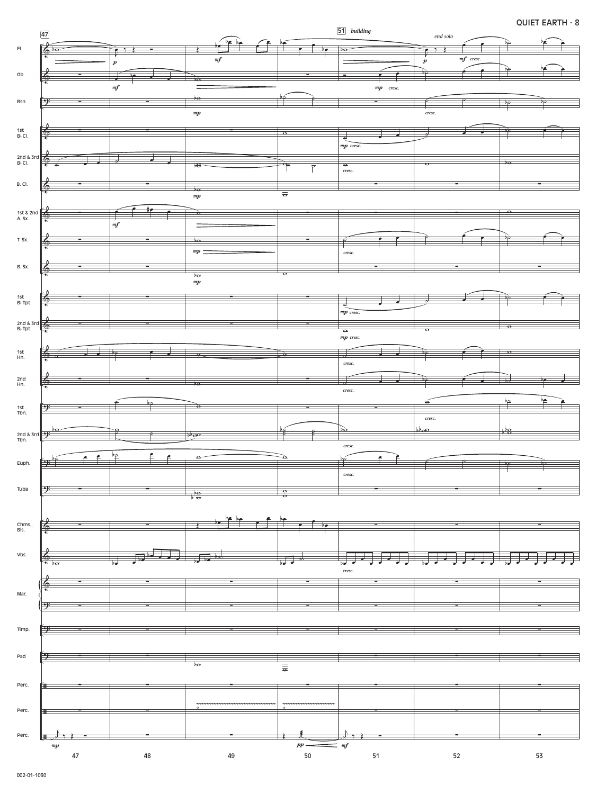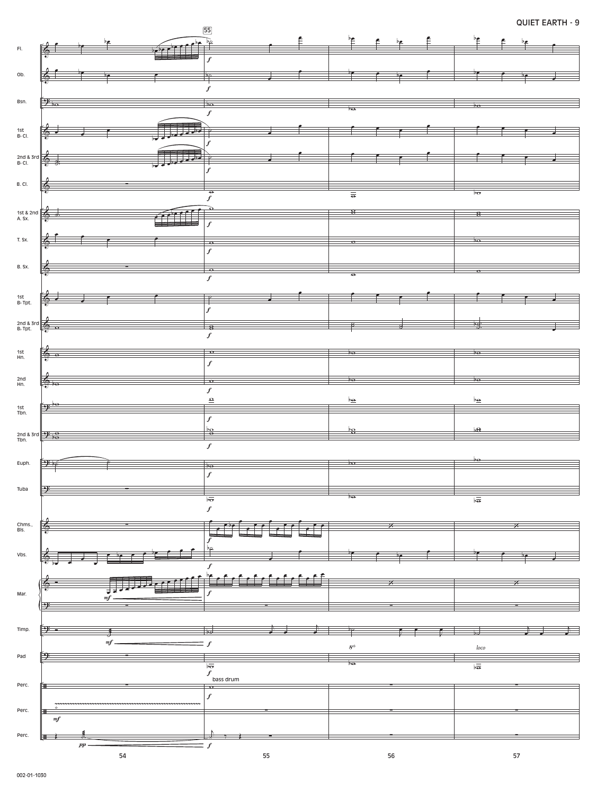

56∑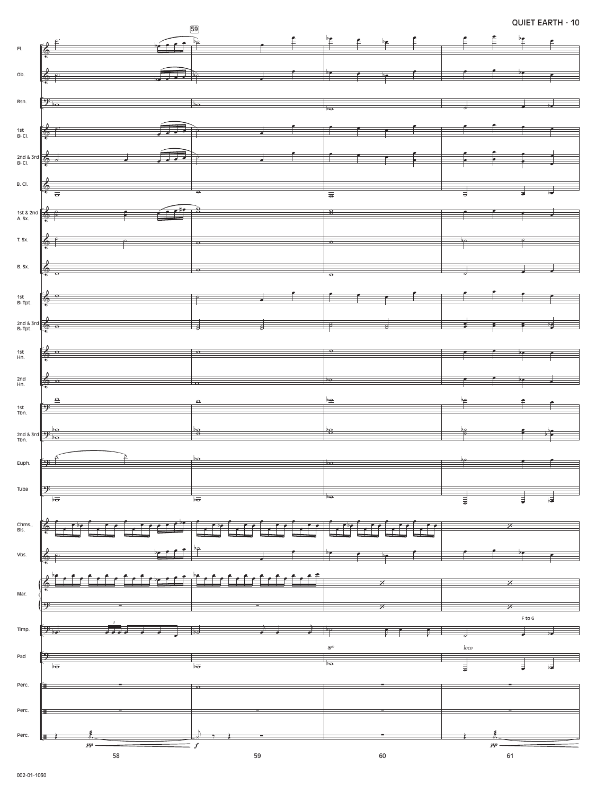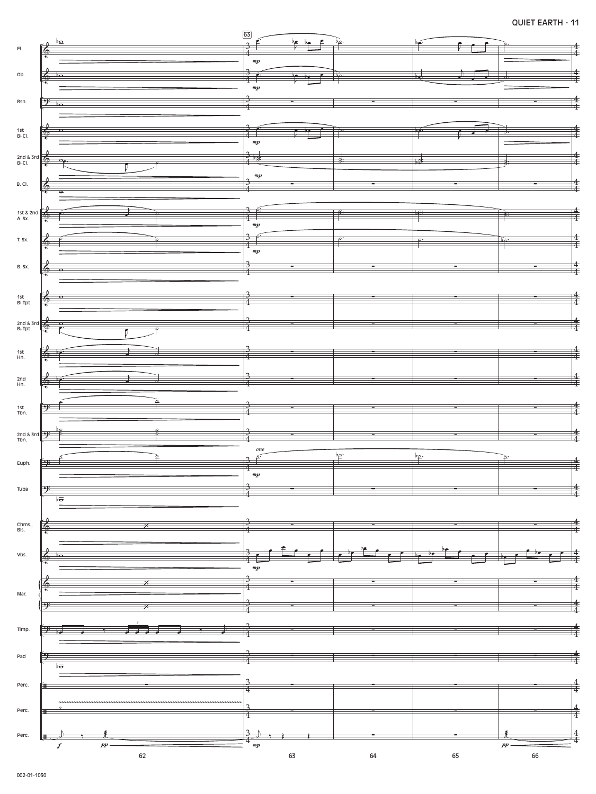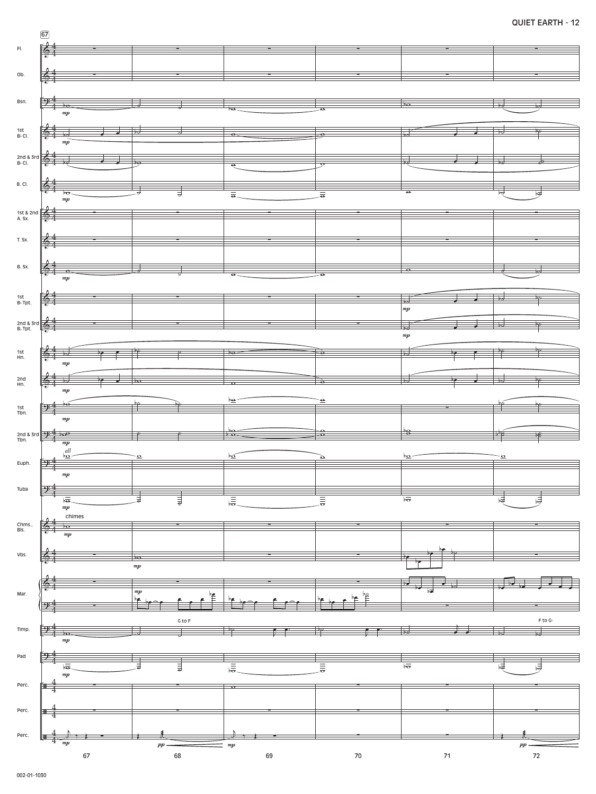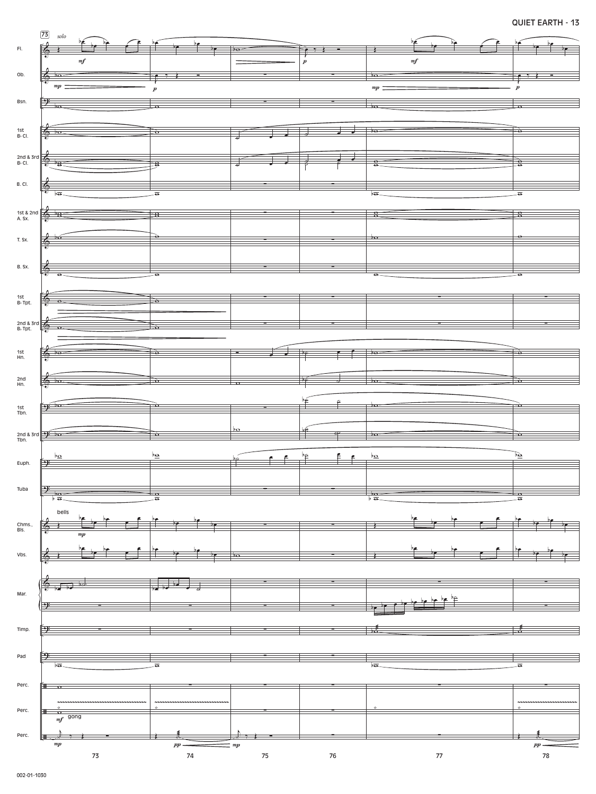